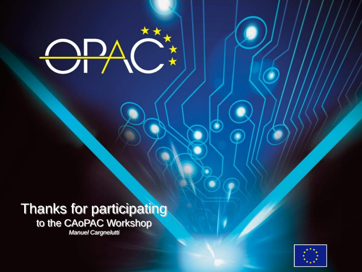

#### **Thanks for participating** to the CAoPAC Workshop *Manuel Cargnelutti*

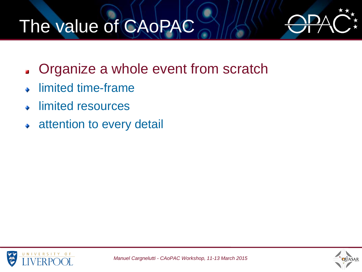# The value of CAoPAC



- Organize a whole event from scratch ø
- limited time-frame ă.
- limited resources ă.
- attention to every detail  $\ddot{\bullet}$

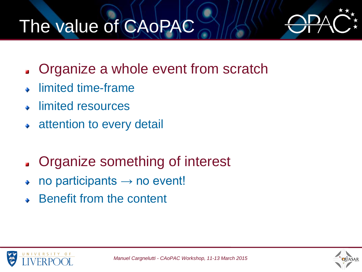## The value of CAoPAC



- Organize a whole event from scratch  $\mathbf{r}$
- limited time-frame
- limited resources
- attention to every detail  $\ddot{\bullet}$
- Organize something of interest  $\overline{\mathbf{z}}$
- no participants  $\rightarrow$  no event!
- Benefit from the content



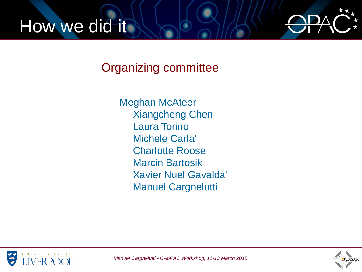



Organizing committee

Meghan McAteer Xiangcheng Chen Laura Torino Michele Carla' Charlotte Roose Marcin Bartosik Xavier Nuel Gavalda' Manuel Cargnelutti



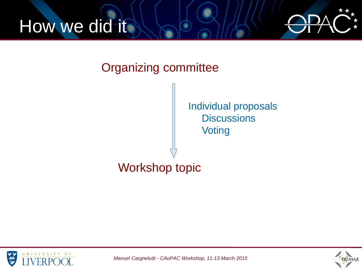



#### Organizing committee

Individual proposals **Discussions Voting** 

### Workshop topic



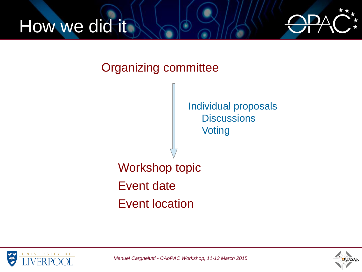



Organizing committee







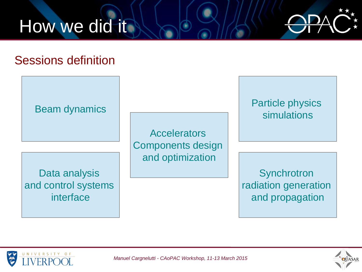



#### Sessions definition

Beam dynamics

Data analysis and control systems interface

**Accelerators** Components design and optimization

Particle physics simulations

**Synchrotron** radiation generation and propagation





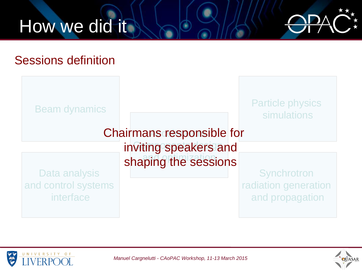



#### Sessions definition





*Manuel Cargnelutti - CAoPAC Workshop, 11-13 March 2015*

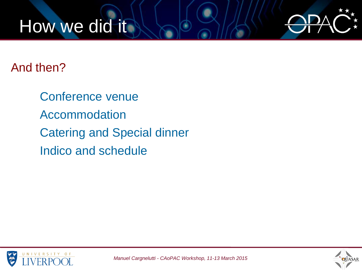### How we did it



#### And then?

Conference venue Accommodation Catering and Special dinner Indico and schedule



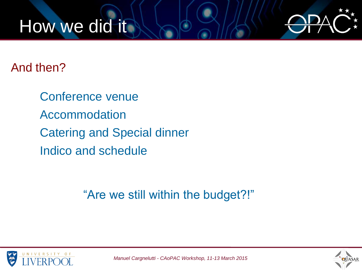### How we did it



And then?

Conference venue Accommodation Catering and Special dinner Indico and schedule

"Are we still within the budget?!"



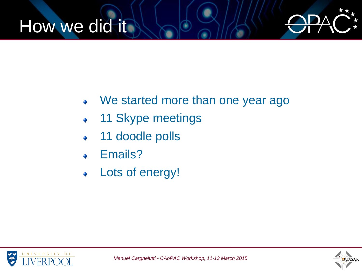### How we did it



- We started more than one year ago
- 11 Skype meetings
- 11 doodle polls
- Emails?
- Lots of energy!

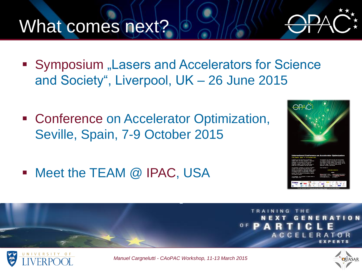### What comes next?

- Symposium "Lasers and Accelerators for Science and Society", Liverpool, UK – 26 June 2015
- Conference on Accelerator Optimization, Seville, Spain, 7-9 October 2015
- Meet the TEAM @ IPAC, USA



ELER